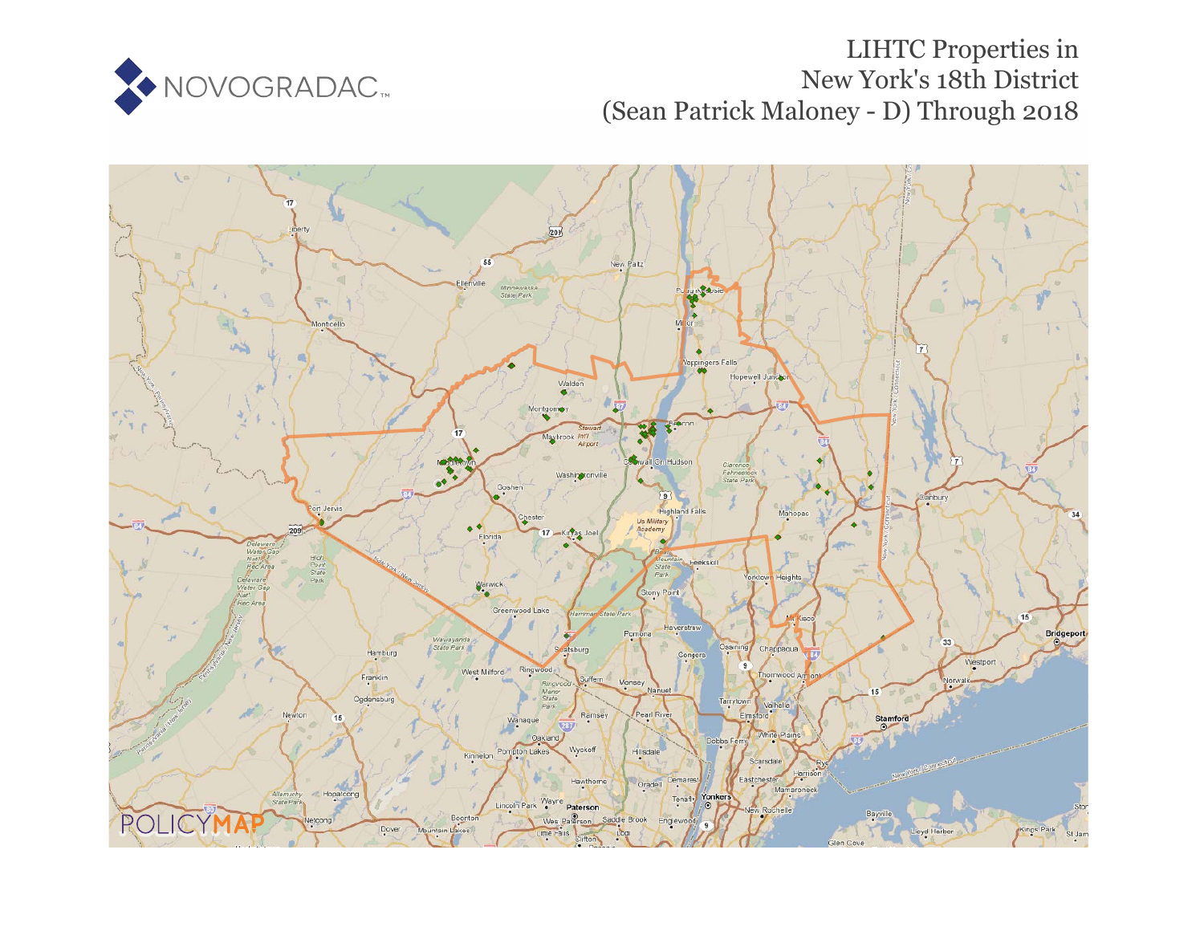

# LIHTC Properties in New York's 18th District (Sean Patrick Maloney - D) Through 2018

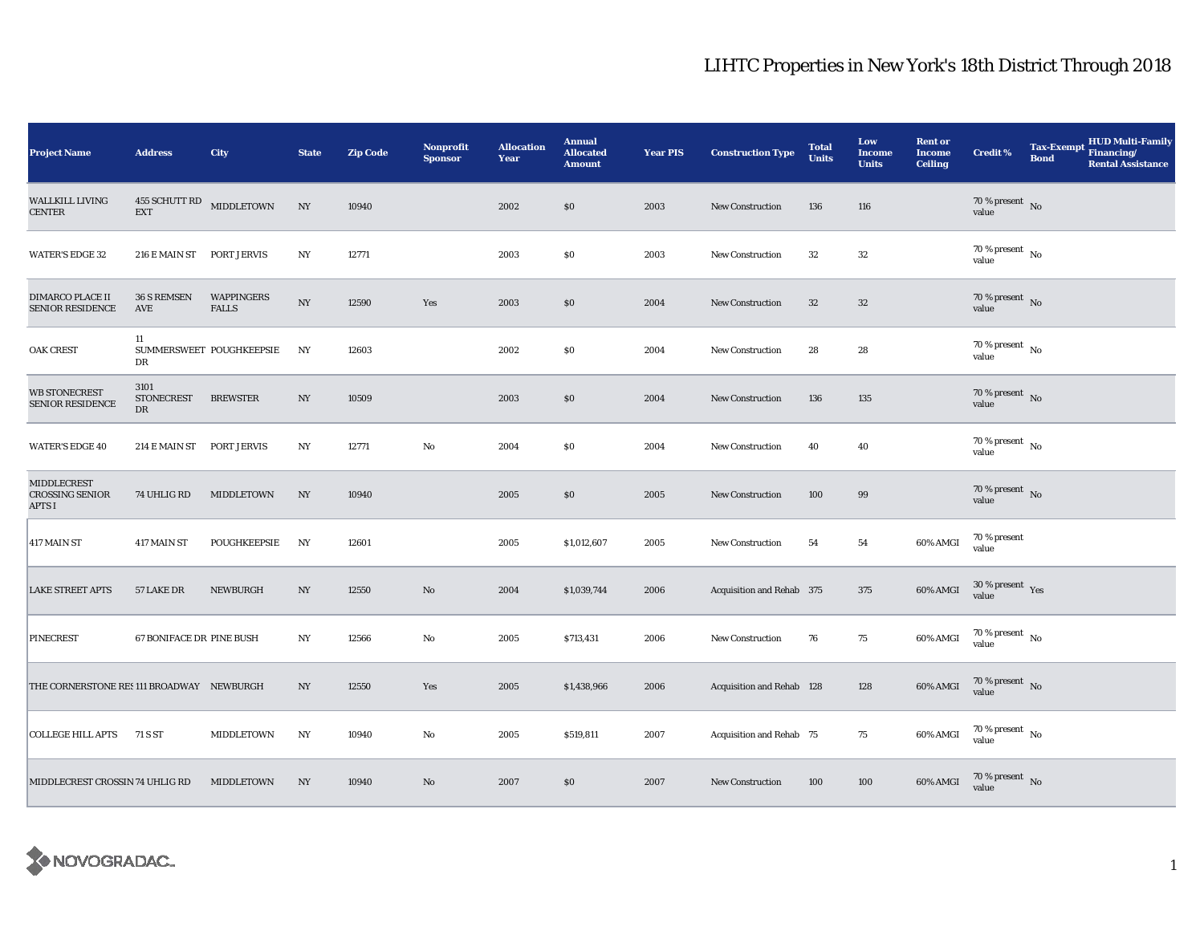| <b>Project Name</b>                         | <b>Address</b>                          | City                       | <b>State</b> | <b>Zip Code</b> | <b>Nonprofit</b><br><b>Sponsor</b> | <b>Allocation</b><br>Year | <b>Annual</b><br><b>Allocated</b><br><b>Amount</b> | <b>Year PIS</b> | <b>Construction Type</b>  | <b>Total</b><br><b>Units</b> | Low<br><b>Income</b><br><b>Units</b> | <b>Rent or</b><br><b>Income</b><br><b>Ceiling</b> | <b>Credit %</b>                        | <b>Tax-Exempt</b><br><b>Bond</b> | <b>HUD Multi-Family</b><br>Financing/<br><b>Rental Assistance</b> |
|---------------------------------------------|-----------------------------------------|----------------------------|--------------|-----------------|------------------------------------|---------------------------|----------------------------------------------------|-----------------|---------------------------|------------------------------|--------------------------------------|---------------------------------------------------|----------------------------------------|----------------------------------|-------------------------------------------------------------------|
| WALLKILL LIVING<br>CENTER                   | 455 SCHUTT RD MIDDLETOWN<br><b>EXT</b>  |                            | NY           | 10940           |                                    | 2002                      | \$0                                                | 2003            | <b>New Construction</b>   | 136                          | 116                                  |                                                   | $70\,\%$ present $\,$ No value         |                                  |                                                                   |
| <b>WATER'S EDGE 32</b>                      | 216 E MAIN ST                           | PORT JERVIS                | NY           | 12771           |                                    | 2003                      | \$0                                                | 2003            | <b>New Construction</b>   | 32                           | $32\,$                               |                                                   | $70\,\%$ present $\,$ No $\,$<br>value |                                  |                                                                   |
| DIMARCO PLACE II<br><b>SENIOR RESIDENCE</b> | 36 S REMSEN<br>AVE                      | WAPPINGERS<br><b>FALLS</b> | NY           | 12590           | Yes                                | 2003                      | \$0                                                | 2004            | <b>New Construction</b>   | 32                           | $32\,$                               |                                                   | 70 % present $\hbox{~No}$<br>value     |                                  |                                                                   |
| <b>OAK CREST</b>                            | 11<br>DR                                | SUMMERSWEET POUGHKEEPSIE   | NY           | 12603           |                                    | 2002                      | \$0                                                | 2004            | <b>New Construction</b>   | 28                           | 28                                   |                                                   | 70 % present $\hbox{~No}$<br>value     |                                  |                                                                   |
| <b>WB STONECREST</b><br>SENIOR RESIDENCE    | 3101<br><b>STONECREST</b><br>${\rm DR}$ | <b>BREWSTER</b>            | NY           | 10509           |                                    | 2003                      | \$0                                                | 2004            | <b>New Construction</b>   | 136                          | $135\,$                              |                                                   | $70\,\%$ present $${\rm No}$$ value    |                                  |                                                                   |
| <b>WATER'S EDGE 40</b>                      | 214 E MAIN ST                           | PORT JERVIS                | NY           | 12771           | No                                 | 2004                      | $\$0$                                              | 2004            | <b>New Construction</b>   | 40                           | 40                                   |                                                   | 70 % present $\hbox{~No}$<br>value     |                                  |                                                                   |
| MIDDLECREST<br>CROSSING SENIOR<br>APTS I    | 74 UHLIG RD                             | MIDDLETOWN                 | NY           | 10940           |                                    | 2005                      | \$0                                                | 2005            | <b>New Construction</b>   | 100                          | 99                                   |                                                   | $70\,\%$ present $\,$ No value         |                                  |                                                                   |
| 417 MAIN ST                                 | 417 MAIN ST                             | POUGHKEEPSIE               | NY           | 12601           |                                    | 2005                      | \$1,012,607                                        | 2005            | <b>New Construction</b>   | 54                           | 54                                   | 60% AMGI                                          | 70 % present<br>value                  |                                  |                                                                   |
| <b>LAKE STREET APTS</b>                     | 57 LAKE DR                              | NEWBURGH                   | NY           | 12550           | No                                 | 2004                      | \$1,039,744                                        | 2006            | Acquisition and Rehab 375 |                              | 375                                  | 60% AMGI                                          | $30$ % present $\,$ $\rm Yes$<br>value |                                  |                                                                   |
| PINECREST                                   | 67 BONIFACE DR PINE BUSH                |                            | NY           | 12566           | No                                 | 2005                      | \$713,431                                          | 2006            | New Construction          | 76                           | 75                                   | 60% AMGI                                          | 70 % present $\hbox{~No}$<br>value     |                                  |                                                                   |
| THE CORNERSTONE RES 111 BROADWAY NEWBURGH   |                                         |                            | NY           | 12550           | Yes                                | 2005                      | \$1,438,966                                        | 2006            | Acquisition and Rehab 128 |                              | 128                                  | 60% AMGI                                          | 70 % present $\,$ No $\,$<br>value     |                                  |                                                                   |
| <b>COLLEGE HILL APTS</b>                    | 71 S ST                                 | MIDDLETOWN                 | NY           | 10940           | No                                 | 2005                      | \$519,811                                          | 2007            | Acquisition and Rehab 75  |                              | 75                                   | 60% AMGI                                          | $70$ % present $\,$ No $\,$<br>value   |                                  |                                                                   |
| MIDDLECREST CROSSIN 74 UHLIG RD             |                                         | MIDDLETOWN                 | NY           | 10940           | No                                 | 2007                      | \$0                                                | 2007            | <b>New Construction</b>   | 100                          | 100                                  | 60% AMGI                                          | $70\,\%$ present $\,$ No value         |                                  |                                                                   |

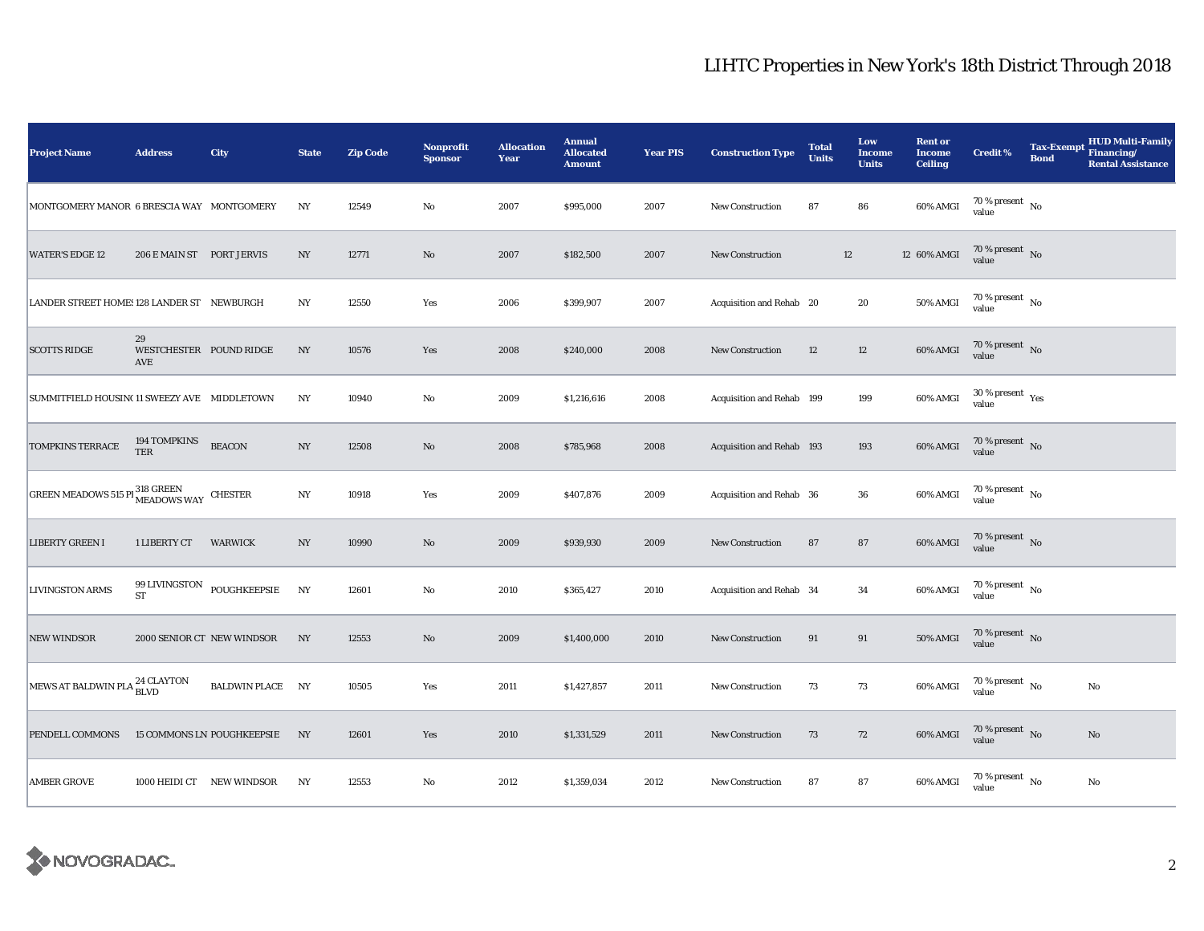| <b>Project Name</b>                           | <b>Address</b>            | City                              | <b>State</b>     | <b>Zip Code</b> | Nonprofit<br><b>Sponsor</b> | <b>Allocation</b><br>Year | <b>Annual</b><br><b>Allocated</b><br><b>Amount</b> | <b>Year PIS</b> | <b>Construction Type</b>  | <b>Total</b><br><b>Units</b> | Low<br><b>Income</b><br><b>Units</b> | <b>Rent or</b><br><b>Income</b><br><b>Ceiling</b> | <b>Credit %</b>                        | <b>Tax-Exempt</b><br><b>Bond</b> | <b>HUD Multi-Family</b><br>Financing/<br><b>Rental Assistance</b> |
|-----------------------------------------------|---------------------------|-----------------------------------|------------------|-----------------|-----------------------------|---------------------------|----------------------------------------------------|-----------------|---------------------------|------------------------------|--------------------------------------|---------------------------------------------------|----------------------------------------|----------------------------------|-------------------------------------------------------------------|
| MONTGOMERY MANOR 6 BRESCIA WAY MONTGOMERY     |                           |                                   | NY               | 12549           | $\mathbf {No}$              | 2007                      | \$995,000                                          | 2007            | New Construction          | 87                           | ${\bf 86}$                           | 60% AMGI                                          | $70\,\%$ present $\,$ No value         |                                  |                                                                   |
| <b>WATER'S EDGE 12</b>                        | 206 E MAIN ST PORT JERVIS |                                   | NY               | 12771           | $\mathbf{N}\mathbf{o}$      | 2007                      | \$182,500                                          | 2007            | <b>New Construction</b>   |                              | $12\,$                               | 12 60% AMGI                                       | 70 % present $\bar{N}$ o<br>value      |                                  |                                                                   |
| LANDER STREET HOME: 128 LANDER ST NEWBURGH    |                           |                                   | NY               | 12550           | Yes                         | 2006                      | \$399,907                                          | 2007            | Acquisition and Rehab 20  |                              | $20\,$                               | 50% AMGI                                          | 70 % present $\hbox{~No}$<br>value     |                                  |                                                                   |
| <b>SCOTTS RIDGE</b>                           | 29<br>AVE                 | WESTCHESTER POUND RIDGE           | NY               | 10576           | Yes                         | 2008                      | \$240,000                                          | 2008            | <b>New Construction</b>   | 12                           | 12                                   | 60% AMGI                                          | 70 % present $\hbox{~No}$<br>value     |                                  |                                                                   |
| SUMMITFIELD HOUSIN(11 SWEEZY AVE MIDDLETOWN   |                           |                                   | NY               | 10940           | $\mathbf{No}$               | 2009                      | \$1,216,616                                        | 2008            | Acquisition and Rehab 199 |                              | 199                                  | 60% AMGI                                          | $30$ % present $\,$ $\rm Yes$<br>value |                                  |                                                                   |
| <b>TOMPKINS TERRACE</b>                       | 194 TOMPKINS<br>TER       | <b>BEACON</b>                     | $_{\mathrm{NY}}$ | 12508           | No                          | 2008                      | \$785,968                                          | 2008            | Acquisition and Rehab 193 |                              | 193                                  | 60% AMGI                                          | $70\,\%$ present $\,$ No value         |                                  |                                                                   |
| <b>GREEN MEADOWS 515 PI 318 GREEN</b> CHESTER |                           |                                   | $_{\mathrm{NY}}$ | 10918           | Yes                         | 2009                      | \$407,876                                          | 2009            | Acquisition and Rehab 36  |                              | ${\bf 36}$                           | 60% AMGI                                          | $70\,\%$ present $\,$ No value         |                                  |                                                                   |
| <b>LIBERTY GREEN I</b>                        | 1 LIBERTY CT              | WARWICK                           | NY               | 10990           | $\rm No$                    | 2009                      | \$939,930                                          | 2009            | <b>New Construction</b>   | 87                           | ${\bf 87}$                           | 60% AMGI                                          | $70\,\%$ present $\,$ No value         |                                  |                                                                   |
| <b>LIVINGSTON ARMS</b>                        | <b>ST</b>                 | 99 LIVINGSTON POUGHKEEPSIE        | <b>NY</b>        | 12601           | $\mathbf{No}$               | 2010                      | \$365,427                                          | 2010            | Acquisition and Rehab 34  |                              | 34                                   | 60% AMGI                                          | 70 % present $\hbox{~No}$<br>value     |                                  |                                                                   |
| <b>NEW WINDSOR</b>                            |                           | 2000 SENIOR CT NEW WINDSOR        | NY               | 12553           | $\rm No$                    | 2009                      | \$1,400,000                                        | 2010            | New Construction          | 91                           | 91                                   | 50% AMGI                                          | 70 % present $\hbox{~No}$<br>value     |                                  |                                                                   |
| MEWS AT BALDWIN PLA <sup>24</sup> CLAYTON     |                           | <b>BALDWIN PLACE NY</b>           |                  | 10505           | Yes                         | 2011                      | \$1,427,857                                        | 2011            | <b>New Construction</b>   | 73                           | 73                                   | 60% AMGI                                          | 70 % present $\hbox{~No}$<br>value     |                                  | No                                                                |
| PENDELL COMMONS                               |                           | <b>15 COMMONS LN POUGHKEEPSIE</b> | NY               | 12601           | Yes                         | 2010                      | \$1,331,529                                        | 2011            | New Construction          | 73                           | 72                                   | 60% AMGI                                          | $70\,\%$ present $\,$ No value         |                                  | $\mathbf{No}$                                                     |
| <b>AMBER GROVE</b>                            |                           | 1000 HEIDI CT NEW WINDSOR         | NY               | 12553           | $\mathbf{No}$               | 2012                      | \$1,359,034                                        | 2012            | New Construction          | 87                           | ${\bf 87}$                           | 60% AMGI                                          | 70 % present $\hbox{~No}$<br>value     |                                  | $\rm No$                                                          |

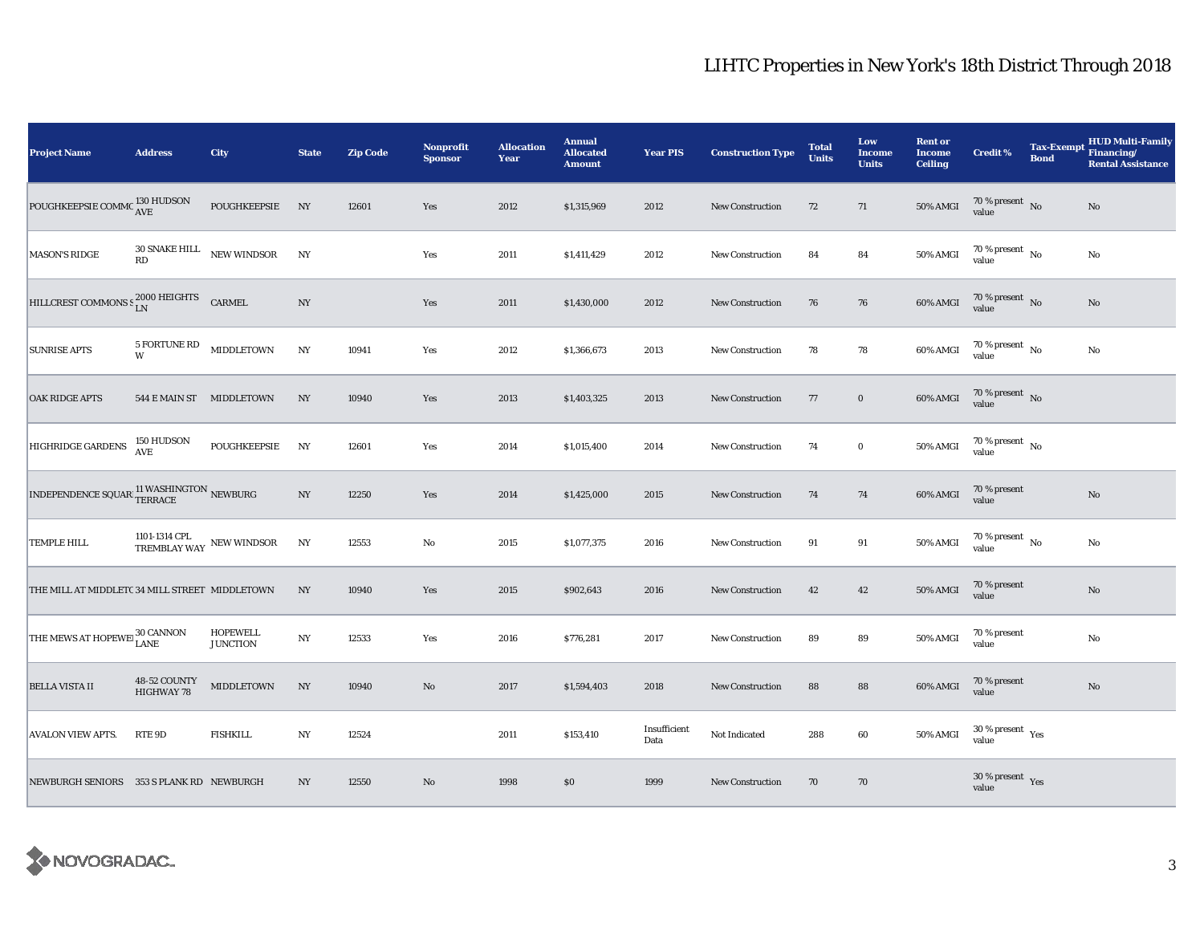| <b>Project Name</b>                                                                                                          | <b>Address</b>             | City                                   | <b>State</b>     | <b>Zip Code</b> | Nonprofit<br><b>Sponsor</b> | <b>Allocation</b><br>Year | <b>Annual</b><br><b>Allocated</b><br><b>Amount</b> | <b>Year PIS</b>      | <b>Construction Type</b> | <b>Total</b><br><b>Units</b> | Low<br><b>Income</b><br><b>Units</b> | <b>Rent or</b><br><b>Income</b><br><b>Ceiling</b> | <b>Credit %</b>                             | <b>Bond</b> | <b>HUD Multi-Family</b><br>Tax-Exempt Financing/<br><b>Rental Assistance</b> |
|------------------------------------------------------------------------------------------------------------------------------|----------------------------|----------------------------------------|------------------|-----------------|-----------------------------|---------------------------|----------------------------------------------------|----------------------|--------------------------|------------------------------|--------------------------------------|---------------------------------------------------|---------------------------------------------|-------------|------------------------------------------------------------------------------|
| POUGHKEEPSIE COMMC                                                                                                           | 130 HUDSON<br>AVE          | POUGHKEEPSIE                           | NY               | 12601           | Yes                         | 2012                      | \$1,315,969                                        | 2012                 | <b>New Construction</b>  | 72                           | 71                                   | <b>50% AMGI</b>                                   | $70\,\%$ present $${\rm No}$$ value         |             | No                                                                           |
| <b>MASON'S RIDGE</b>                                                                                                         | RD                         | $30$ SNAKE HILL $\_$ NEW WINDSOR       | NY               |                 | Yes                         | 2011                      | \$1,411,429                                        | 2012                 | <b>New Construction</b>  | 84                           | 84                                   | 50% AMGI                                          | $70$ % present $\,$ No $\,$<br>value        |             | $\rm No$                                                                     |
| HILLCREST COMMONS S 2000 HEIGHTS                                                                                             |                            | CARMEL                                 | NY               |                 | Yes                         | 2011                      | \$1,430,000                                        | 2012                 | New Construction         | 76                           | 76                                   | 60% AMGI                                          | $70\,\%$ present $${\rm No}$$ value         |             | $\rm No$                                                                     |
| <b>SUNRISE APTS</b>                                                                                                          | 5 FORTUNE RD<br>W          | <b>MIDDLETOWN</b>                      | $_{\mathrm{NY}}$ | 10941           | Yes                         | 2012                      | \$1,366,673                                        | 2013                 | <b>New Construction</b>  | 78                           | 78                                   | 60% AMGI                                          | 70 % present $\hbox{~No}$<br>value          |             | $\rm No$                                                                     |
| <b>OAK RIDGE APTS</b>                                                                                                        | 544 E MAIN ST MIDDLETOWN   |                                        | $_{\mathrm{NY}}$ | 10940           | Yes                         | 2013                      | \$1,403,325                                        | 2013                 | <b>New Construction</b>  | 77                           | $\mathbf 0$                          | 60% AMGI                                          | $70\,\%$ present $${\rm No}$$ value         |             |                                                                              |
| <b>HIGHRIDGE GARDENS</b>                                                                                                     | 150 HUDSON<br>AVE          | POUGHKEEPSIE                           | NY               | 12601           | Yes                         | 2014                      | \$1,015,400                                        | 2014                 | <b>New Construction</b>  | 74                           | $\mathbf 0$                          | 50% AMGI                                          | $70\,\%$ present $\,$ No value              |             |                                                                              |
| $\boxed{\text{INDEPENDENCE SQUARE}} \underset{\text{TERACE}}^\text{11 WASHINGTON} \underset{\text{NEWBURG}}{\text{NEWBURG}}$ |                            |                                        | $_{\mathrm{NY}}$ | 12250           | Yes                         | 2014                      | \$1,425,000                                        | 2015                 | <b>New Construction</b>  | 74                           | 74                                   | 60% AMGI                                          | 70 % present<br>value                       |             | $\mathbf{N}\mathbf{o}$                                                       |
| <b>TEMPLE HILL</b>                                                                                                           |                            | 1101-1314 CPL NEW WINDSOR TREMBLAY WAY | NY               | 12553           | No                          | 2015                      | \$1,077,375                                        | 2016                 | <b>New Construction</b>  | 91                           | 91                                   | 50% AMGI                                          | $70\,\%$ present $\,$ No $\,$<br>value      |             | No                                                                           |
| THE MILL AT MIDDLETC 34 MILL STREET MIDDLETOWN                                                                               |                            |                                        | NY               | 10940           | Yes                         | 2015                      | \$902,643                                          | 2016                 | New Construction         | 42                           | 42                                   | 50% AMGI                                          | 70 % present<br>value                       |             | $\rm No$                                                                     |
| THE MEWS AT HOPEWEI 30 CANNON                                                                                                |                            | <b>HOPEWELL</b><br><b>JUNCTION</b>     | $_{\mathrm{NY}}$ | 12533           | Yes                         | 2016                      | \$776,281                                          | 2017                 | New Construction         | 89                           | 89                                   | 50% AMGI                                          | 70 % present<br>value                       |             | $\rm No$                                                                     |
| <b>BELLA VISTA II</b>                                                                                                        | 48-52 COUNTY<br>HIGHWAY 78 | <b>MIDDLETOWN</b>                      | NY               | 10940           | $\rm No$                    | 2017                      | \$1,594,403                                        | 2018                 | New Construction         | 88                           | 88                                   | 60% AMGI                                          | 70 % present<br>value                       |             | No                                                                           |
| <b>AVALON VIEW APTS.</b>                                                                                                     | RTE 9D                     | <b>FISHKILL</b>                        | $_{\mathrm{NY}}$ | 12524           |                             | 2011                      | \$153,410                                          | Insufficient<br>Data | Not Indicated            | 288                          | 60                                   | 50% AMGI                                          | $30\,\%$ present $\,$ $_{\rm Yes}$<br>value |             |                                                                              |
| NEWBURGH SENIORS 353 S PLANK RD NEWBURGH                                                                                     |                            |                                        | NY               | 12550           | No                          | 1998                      | \$0                                                | 1999                 | <b>New Construction</b>  | 70                           | 70                                   |                                                   | $30\,\%$ present $\,$ Yes value             |             |                                                                              |

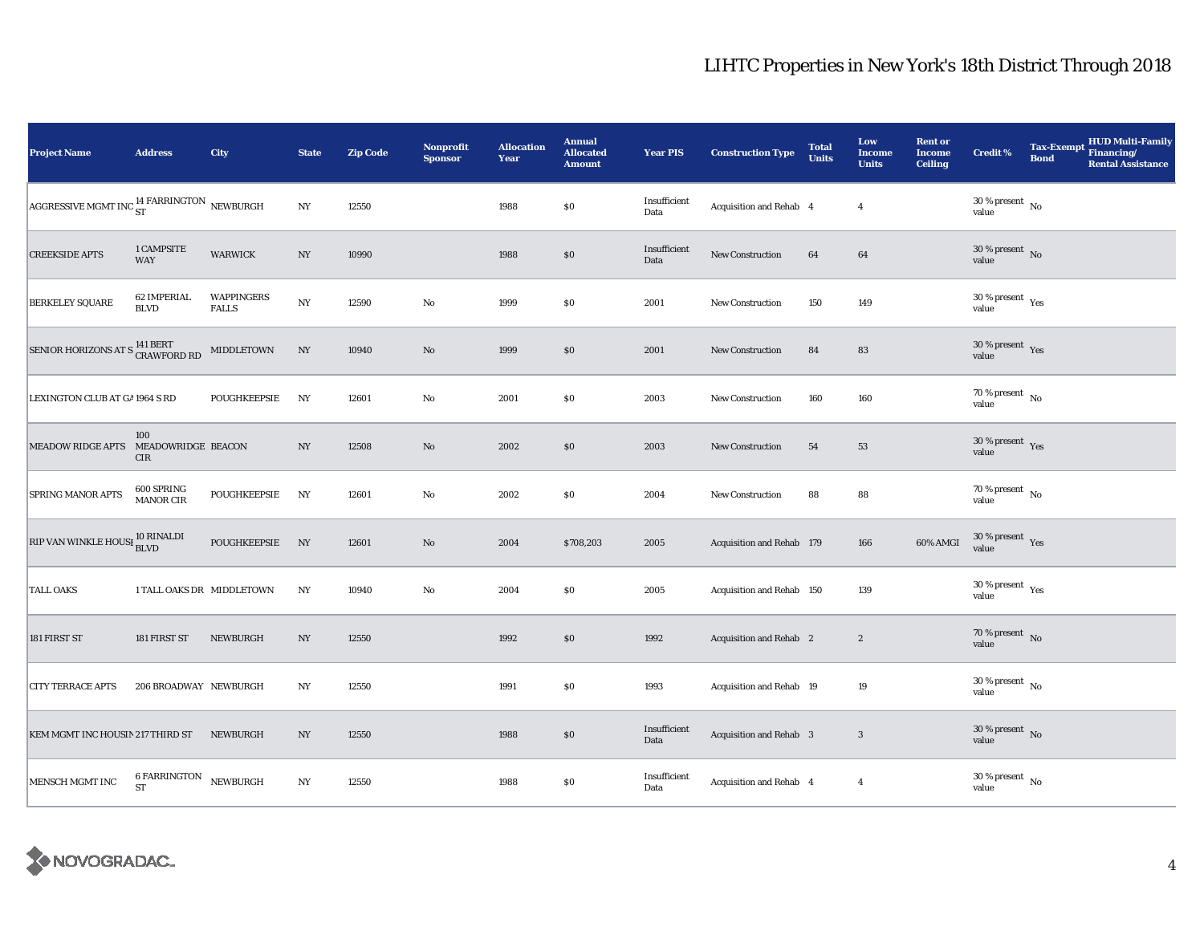| <b>Project Name</b>                                      | <b>Address</b>                     | City                              | <b>State</b>     | <b>Zip Code</b> | <b>Nonprofit</b><br><b>Sponsor</b> | <b>Allocation</b><br>Year | <b>Annual</b><br><b>Allocated</b><br><b>Amount</b> | <b>Year PIS</b>      | <b>Construction Type</b>  | <b>Total</b><br><b>Units</b> | Low<br><b>Income</b><br><b>Units</b> | <b>Rent or</b><br><b>Income</b><br><b>Ceiling</b> | <b>Credit %</b>                               | <b>Tax-Exempt</b><br><b>Bond</b> | <b>HUD Multi-Family</b><br>Financing/<br><b>Rental Assistance</b> |
|----------------------------------------------------------|------------------------------------|-----------------------------------|------------------|-----------------|------------------------------------|---------------------------|----------------------------------------------------|----------------------|---------------------------|------------------------------|--------------------------------------|---------------------------------------------------|-----------------------------------------------|----------------------------------|-------------------------------------------------------------------|
| AGGRESSIVE MGMT INC $_{\rm ST}^{14}$ FARRINGTON NEWBURGH |                                    |                                   | $_{\mathrm{NY}}$ | 12550           |                                    | 1988                      | $\$0$                                              | Insufficient<br>Data | Acquisition and Rehab 4   |                              | $\overline{4}$                       |                                                   | $30\,\%$ present $\,$ No value                |                                  |                                                                   |
| <b>CREEKSIDE APTS</b>                                    | 1 CAMPSITE<br><b>WAY</b>           | <b>WARWICK</b>                    | NY               | 10990           |                                    | 1988                      | $\$0$                                              | Insufficient<br>Data | <b>New Construction</b>   | 64                           | 64                                   |                                                   | $30\,\%$ present $\,$ No $\,$<br>value        |                                  |                                                                   |
| <b>BERKELEY SQUARE</b>                                   | 62 IMPERIAL<br><b>BLVD</b>         | <b>WAPPINGERS</b><br><b>FALLS</b> | NY               | 12590           | No                                 | 1999                      | \$0                                                | 2001                 | New Construction          | 150                          | 149                                  |                                                   | $30\,\%$ present $\,$ $\rm Yes$<br>value      |                                  |                                                                   |
| SENIOR HORIZONS AT S <sup>141 BERT</sup> CRAWFORD RD     |                                    | MIDDLETOWN                        | $_{\mathrm{NY}}$ | 10940           | $\rm No$                           | 1999                      | $\$0$                                              | 2001                 | New Construction          | 84                           | 83                                   |                                                   | $30\,\%$ present $\,$ Yes value               |                                  |                                                                   |
| LEXINGTON CLUB AT GA 1964 S RD                           |                                    | POUGHKEEPSIE                      | NY               | 12601           | $\rm No$                           | 2001                      | \$0                                                | 2003                 | <b>New Construction</b>   | 160                          | 160                                  |                                                   | $70$ % present $\,$ No $\,$<br>value          |                                  |                                                                   |
| MEADOW RIDGE APTS MEADOWRIDGE BEACON                     | 100<br>CIR                         |                                   | $_{\mathrm{NY}}$ | 12508           | $\rm No$                           | 2002                      | \$0                                                | 2003                 | <b>New Construction</b>   | 54                           | 53                                   |                                                   | $30\,\%$ present $\,$ Yes value               |                                  |                                                                   |
| SPRING MANOR APTS                                        | 600 SPRING<br><b>MANOR CIR</b>     | POUGHKEEPSIE                      | NY               | 12601           | No                                 | 2002                      | \$0                                                | 2004                 | New Construction          | 88                           | 88                                   |                                                   | $70\,\%$ present $\,$ No value                |                                  |                                                                   |
| RIP VAN WINKLE HOUSI <sup>10</sup> RINALDI<br>BLVD       |                                    | POUGHKEEPSIE                      | NY               | 12601           | $\rm No$                           | 2004                      | \$708,203                                          | 2005                 | Acquisition and Rehab 179 |                              | 166                                  | 60% AMGI                                          | $30\,\%$ present $\,$ Yes value               |                                  |                                                                   |
| <b>TALL OAKS</b>                                         | 1 TALL OAKS DR MIDDLETOWN          |                                   | NY               | 10940           | No                                 | 2004                      | \$0                                                | 2005                 | Acquisition and Rehab 150 |                              | 139                                  |                                                   | $30$ % present $\rm\thinspace_{Yes}$<br>value |                                  |                                                                   |
| 181 FIRST ST                                             | 181 FIRST ST                       | NEWBURGH                          | NY               | 12550           |                                    | 1992                      | $\$0$                                              | 1992                 | Acquisition and Rehab 2   |                              | $\boldsymbol{2}$                     |                                                   | 70 % present $\hbox{~No}$<br>value            |                                  |                                                                   |
| <b>CITY TERRACE APTS</b>                                 | 206 BROADWAY NEWBURGH              |                                   | NY               | 12550           |                                    | 1991                      | $\$0$                                              | 1993                 | Acquisition and Rehab 19  |                              | 19                                   |                                                   | $30\,\%$ present $\,$ No value                |                                  |                                                                   |
| KEM MGMT INC HOUSIN 217 THIRD ST                         |                                    | NEWBURGH                          | NY               | 12550           |                                    | 1988                      | \$0                                                | Insufficient<br>Data | Acquisition and Rehab 3   |                              | $\mathbf{3}$                         |                                                   | $30$ % present $\,$ No $\,$<br>value          |                                  |                                                                   |
| MENSCH MGMT INC                                          | 6 FARRINGTON NEWBURGH<br><b>ST</b> |                                   | $_{\mathrm{NY}}$ | 12550           |                                    | 1988                      | $\$0$                                              | Insufficient<br>Data | Acquisition and Rehab 4   |                              | $\overline{4}$                       |                                                   | $30\,\%$ present $\,$ No value                |                                  |                                                                   |

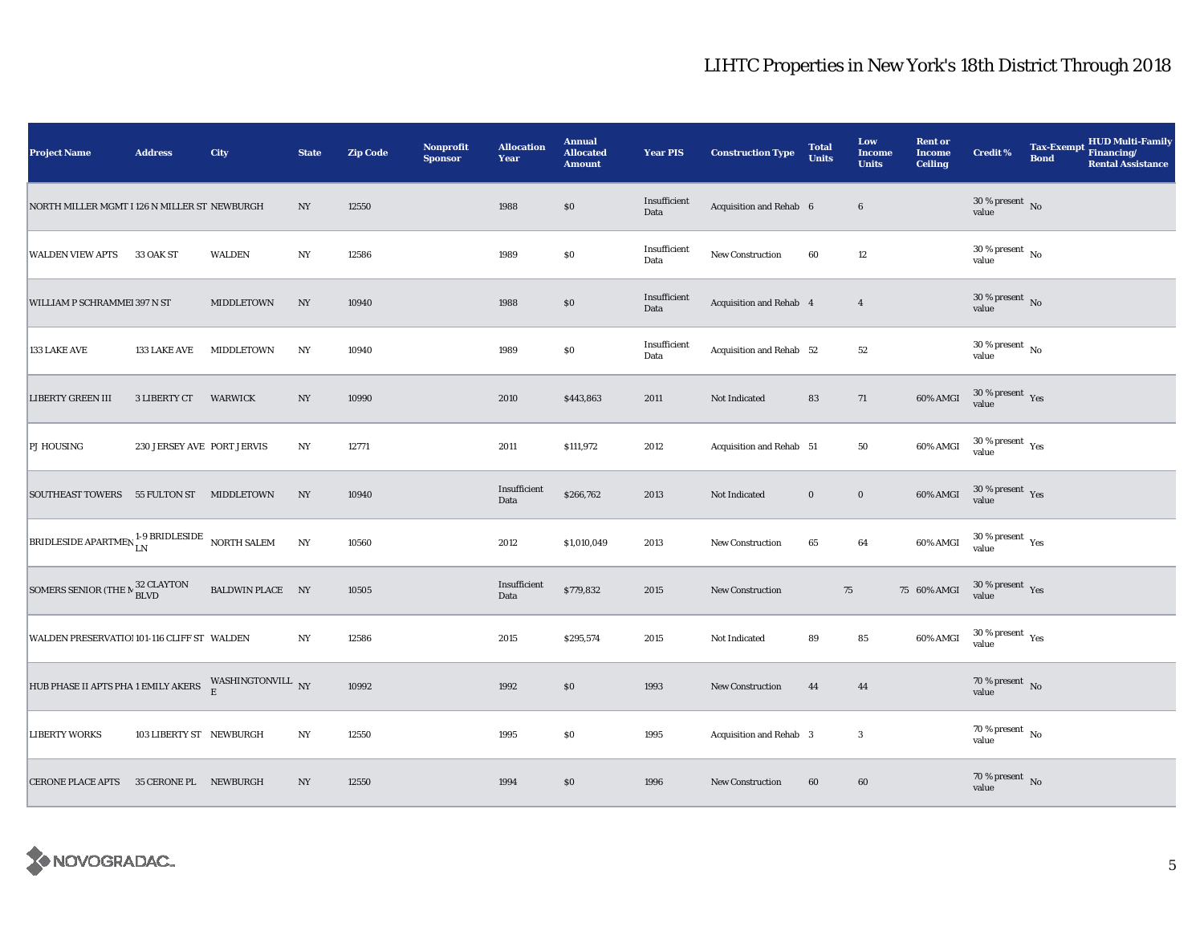| <b>Project Name</b>                                                     | <b>Address</b>             | City             | <b>State</b>     | <b>Zip Code</b> | Nonprofit<br><b>Sponsor</b> | <b>Allocation</b><br>Year | <b>Annual</b><br><b>Allocated</b><br><b>Amount</b> | <b>Year PIS</b>      | <b>Construction Type</b> | <b>Total</b><br><b>Units</b> | Low<br>Income<br><b>Units</b> | <b>Rent or</b><br><b>Income</b><br><b>Ceiling</b> | <b>Credit %</b>                    | <b>Tax-Exempt</b><br><b>Bond</b> | <b>HUD Multi-Family</b><br>Financing/<br><b>Rental Assistance</b> |
|-------------------------------------------------------------------------|----------------------------|------------------|------------------|-----------------|-----------------------------|---------------------------|----------------------------------------------------|----------------------|--------------------------|------------------------------|-------------------------------|---------------------------------------------------|------------------------------------|----------------------------------|-------------------------------------------------------------------|
| NORTH MILLER MGMT I 126 N MILLER ST NEWBURGH                            |                            |                  | $_{\mathrm{NY}}$ | 12550           |                             | 1988                      | \$0                                                | Insufficient<br>Data | Acquisition and Rehab 6  |                              | $\bf 6$                       |                                                   | $30\,\%$ present $\,$ No value     |                                  |                                                                   |
| <b>WALDEN VIEW APTS</b>                                                 | 33 OAK ST                  | <b>WALDEN</b>    | $_{\mathrm{NY}}$ | 12586           |                             | 1989                      | \$0                                                | Insufficient<br>Data | <b>New Construction</b>  | 60                           | $12\,$                        |                                                   | $30\,\%$ present $\,$ No value     |                                  |                                                                   |
| WILLIAM P SCHRAMMEI 397 N ST                                            |                            | MIDDLETOWN       | NY               | 10940           |                             | 1988                      | \$0                                                | Insufficient<br>Data | Acquisition and Rehab 4  |                              | $\overline{4}$                |                                                   | $30\,\%$ present $\,$ No value     |                                  |                                                                   |
| 133 LAKE AVE                                                            | 133 LAKE AVE               | MIDDLETOWN       | NY               | 10940           |                             | 1989                      | $\$0$                                              | Insufficient<br>Data | Acquisition and Rehab 52 |                              | $52\,$                        |                                                   | $30\,\%$ present $\,$ No value     |                                  |                                                                   |
| <b>LIBERTY GREEN III</b>                                                | 3 LIBERTY CT               | WARWICK          | $_{\mathrm{NY}}$ | 10990           |                             | 2010                      | \$443,863                                          | 2011                 | Not Indicated            | 83                           | 71                            | 60% AMGI                                          | $30\,\%$ present $\,$ Yes value    |                                  |                                                                   |
| <b>PJ HOUSING</b>                                                       | 230 JERSEY AVE PORT JERVIS |                  | $_{\mathrm{NY}}$ | 12771           |                             | 2011                      | \$111,972                                          | 2012                 | Acquisition and Rehab 51 |                              | ${\bf 50}$                    | 60% AMGI                                          | $30\,\%$ present $\,$ Yes value    |                                  |                                                                   |
| SOUTHEAST TOWERS 55 FULTON ST MIDDLETOWN                                |                            |                  | NY               | 10940           |                             | Insufficient<br>Data      | \$266,762                                          | 2013                 | Not Indicated            | $\bf{0}$                     | $\mathbf 0$                   | 60% AMGI                                          | $30\,\%$ present $\,$ Yes value    |                                  |                                                                   |
| BRIDLESIDE APARTMEN <sup>1-9</sup> BRIDLESIDE NORTH SALEM               |                            |                  | $_{\mathrm{NY}}$ | 10560           |                             | 2012                      | \$1,010,049                                        | 2013                 | <b>New Construction</b>  | 65                           | 64                            | 60% AMGI                                          | $30\,\%$ present $\,$ Yes value    |                                  |                                                                   |
| SOMERS SENIOR (THE $\rm N$ $^{32}_{BLVD}$ CLAYTON                       |                            | BALDWIN PLACE NY |                  | 10505           |                             | Insufficient<br>Data      | \$779,832                                          | 2015                 | New Construction         | $75\,$                       |                               | 75 60% AMGI                                       | 30 % present Yes<br>value          |                                  |                                                                   |
| WALDEN PRESERVATIO! 101-116 CLIFF ST WALDEN                             |                            |                  | NY               | 12586           |                             | 2015                      | \$295,574                                          | 2015                 | Not Indicated            | 89                           | 85                            | 60% AMGI                                          | $30\,\%$ present $\,$ Yes value    |                                  |                                                                   |
| HUB PHASE II APTS PHA 1 EMILY AKERS WASHINGTONVILL $\hbox{ \bf \tt NY}$ |                            |                  |                  | 10992           |                             | 1992                      | \$0                                                | 1993                 | New Construction         | 44                           | 44                            |                                                   | 70 % present $\,$ No $\,$<br>value |                                  |                                                                   |
| <b>LIBERTY WORKS</b>                                                    | 103 LIBERTY ST NEWBURGH    |                  | $_{\mathrm{NY}}$ | 12550           |                             | 1995                      | \$0                                                | 1995                 | Acquisition and Rehab 3  |                              | $\boldsymbol{3}$              |                                                   | 70 % present $\hbox{~No}$<br>value |                                  |                                                                   |
| CERONE PLACE APTS 35 CERONE PL NEWBURGH                                 |                            |                  | NY               | 12550           |                             | 1994                      | $\$0$                                              | 1996                 | <b>New Construction</b>  | 60                           | 60                            |                                                   | $70\,\%$ present $\,$ No value     |                                  |                                                                   |

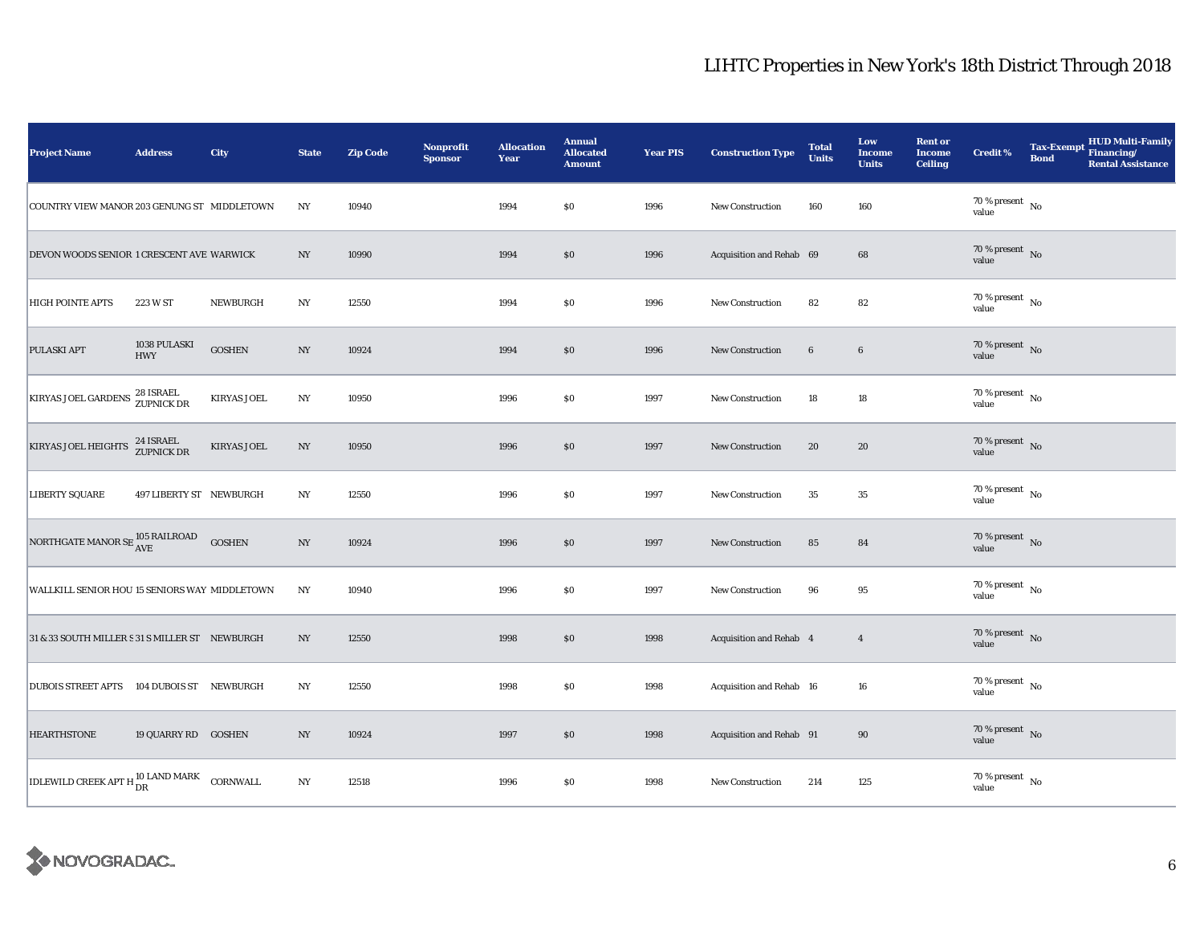| <b>Project Name</b>                                                                       | <b>Address</b>             | City               | <b>State</b>     | <b>Zip Code</b> | <b>Nonprofit</b><br><b>Sponsor</b> | <b>Allocation</b><br>Year | <b>Annual</b><br><b>Allocated</b><br><b>Amount</b> | <b>Year PIS</b> | <b>Construction Type</b> | <b>Total</b><br><b>Units</b> | Low<br><b>Income</b><br><b>Units</b> | <b>Rent or</b><br><b>Income</b><br><b>Ceiling</b> | <b>Credit %</b>                        | <b>Bond</b> | Tax-Exempt HUD Multi-Family<br><b>Rental Assistance</b> |
|-------------------------------------------------------------------------------------------|----------------------------|--------------------|------------------|-----------------|------------------------------------|---------------------------|----------------------------------------------------|-----------------|--------------------------|------------------------------|--------------------------------------|---------------------------------------------------|----------------------------------------|-------------|---------------------------------------------------------|
| COUNTRY VIEW MANOR 203 GENUNG ST MIDDLETOWN                                               |                            |                    | NY               | 10940           |                                    | 1994                      | \$0                                                | 1996            | New Construction         | 160                          | 160                                  |                                                   | 70 % present $\hbox{~No}$<br>value     |             |                                                         |
| DEVON WOODS SENIOR 1 CRESCENT AVE WARWICK                                                 |                            |                    | NY               | 10990           |                                    | 1994                      | \$0                                                | 1996            | Acquisition and Rehab 69 |                              | 68                                   |                                                   | $70\,\%$ present $\,$ No value         |             |                                                         |
| <b>HIGH POINTE APTS</b>                                                                   | 223 W ST                   | NEWBURGH           | NY               | 12550           |                                    | 1994                      | \$0                                                | 1996            | <b>New Construction</b>  | 82                           | 82                                   |                                                   | $70\,\%$ present $\,$ No value         |             |                                                         |
| PULASKI APT                                                                               | 1038 PULASKI<br><b>HWY</b> | <b>GOSHEN</b>      | NY               | 10924           |                                    | 1994                      | \$0                                                | 1996            | New Construction         | $6\phantom{.0}$              | $6\phantom{.}6$                      |                                                   | $70\,\%$ present $${\rm No}$$ value    |             |                                                         |
| KIRYAS JOEL GARDENS 28 ISRAEL                                                             |                            | <b>KIRYAS JOEL</b> | NY               | 10950           |                                    | 1996                      | \$0                                                | 1997            | <b>New Construction</b>  | 18                           | 18                                   |                                                   | $70\,\%$ present $\,$ No value         |             |                                                         |
| KIRYAS JOEL HEIGHTS <sup>24</sup> ISRAEL                                                  |                            | <b>KIRYAS JOEL</b> | NY               | 10950           |                                    | 1996                      | \$0                                                | 1997            | New Construction         | 20                           | 20                                   |                                                   | 70 % present $\bar{N}$ o<br>value      |             |                                                         |
| <b>LIBERTY SQUARE</b>                                                                     | 497 LIBERTY ST NEWBURGH    |                    | NY               | 12550           |                                    | 1996                      | \$0                                                | 1997            | <b>New Construction</b>  | 35                           | $35\,$                               |                                                   | 70 % present $\hbox{~No}$<br>value     |             |                                                         |
| NORTHGATE MANOR SE $^{105\, \rm RAILROAD}_{\rm AVE}$                                      |                            | <b>GOSHEN</b>      | $_{\mathrm{NY}}$ | 10924           |                                    | 1996                      | $\$0$                                              | 1997            | <b>New Construction</b>  | 85                           | 84                                   |                                                   | $70\,\%$ present $\,$ No value         |             |                                                         |
| WALLKILL SENIOR HOU 15 SENIORS WAY MIDDLETOWN                                             |                            |                    | $_{\mathrm{NY}}$ | 10940           |                                    | 1996                      | \$0                                                | 1997            | <b>New Construction</b>  | 96                           | 95                                   |                                                   | 70 % present $\hbox{~No}$<br>value     |             |                                                         |
| 31 & 33 SOUTH MILLER S 31 S MILLER ST NEWBURGH                                            |                            |                    | NY               | 12550           |                                    | 1998                      | \$0                                                | 1998            | Acquisition and Rehab 4  |                              | $\overline{4}$                       |                                                   | $70\,\%$ present $${\rm No}$$ value    |             |                                                         |
| <b>DUBOIS STREET APTS</b>                                                                 | 104 DUBOIS ST NEWBURGH     |                    | NY               | 12550           |                                    | 1998                      | \$0                                                | 1998            | Acquisition and Rehab 16 |                              | 16                                   |                                                   | $70\,\%$ present $\,$ No value         |             |                                                         |
| <b>HEARTHSTONE</b>                                                                        | 19 QUARRY RD GOSHEN        |                    | NY               | 10924           |                                    | 1997                      | \$0                                                | 1998            | Acquisition and Rehab 91 |                              | 90                                   |                                                   | $70\,\%$ present $\,$ No value         |             |                                                         |
| $\boxed{\textrm{IDLEWILD CREEK APT H}^{10\,\textrm{LAND} \,\textrm{MARK}}_{\textrm{DR}}}$ |                            | CORNWALL           | NY               | 12518           |                                    | 1996                      | \$0                                                | 1998            | New Construction         | 214                          | 125                                  |                                                   | $70$ % present $_{\, \rm No}$<br>value |             |                                                         |

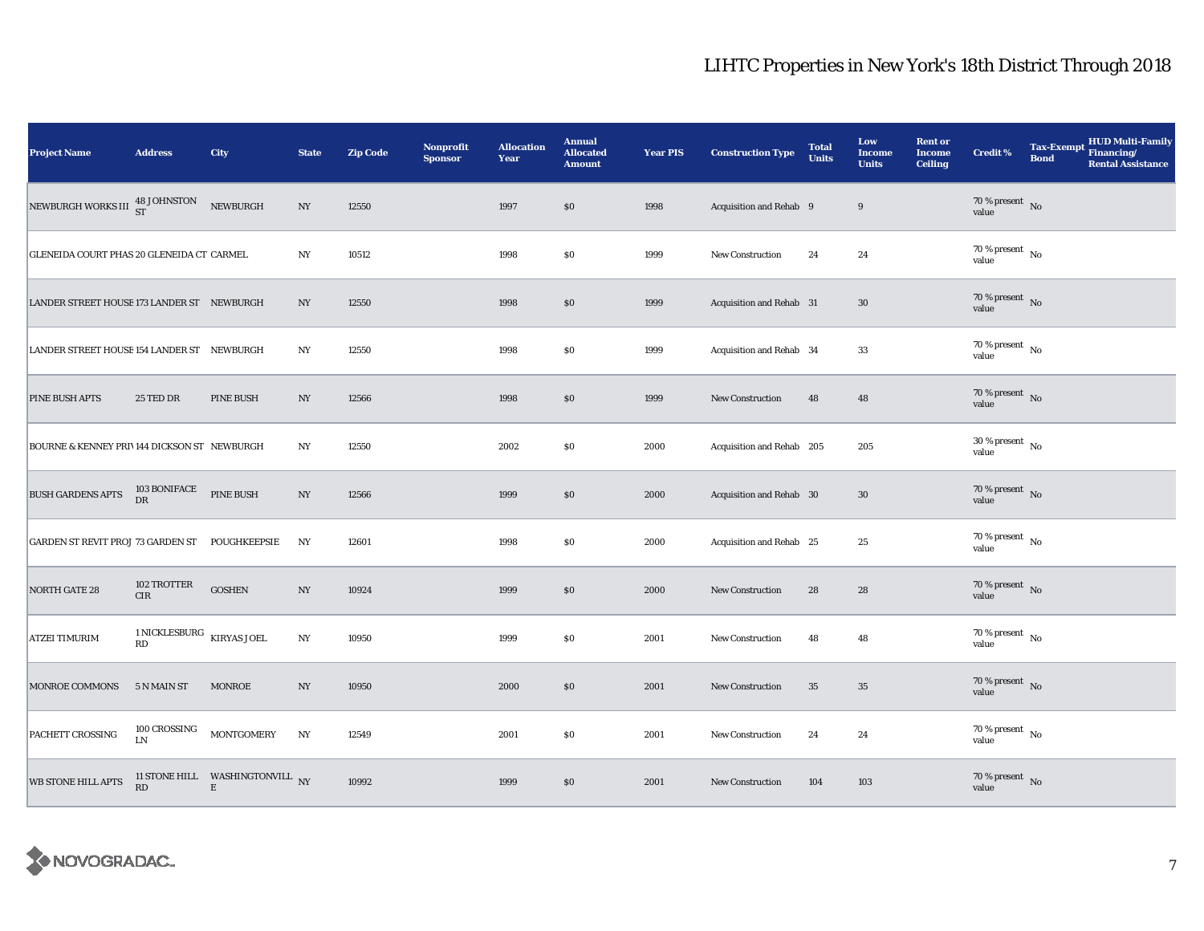| <b>Project Name</b>                              | <b>Address</b>                       | City                                           | <b>State</b>     | <b>Zip Code</b> | <b>Nonprofit</b><br><b>Sponsor</b> | <b>Allocation</b><br>Year | <b>Annual</b><br><b>Allocated</b><br><b>Amount</b> | <b>Year PIS</b> | <b>Construction Type</b>        | <b>Total</b><br><b>Units</b> | Low<br>Income<br><b>Units</b> | <b>Rent or</b><br><b>Income</b><br><b>Ceiling</b> | <b>Credit %</b>                      | <b>Bond</b> | HUD Multi-Family<br>Tax-Exempt Financing/<br><b>Rental Assistance</b> |
|--------------------------------------------------|--------------------------------------|------------------------------------------------|------------------|-----------------|------------------------------------|---------------------------|----------------------------------------------------|-----------------|---------------------------------|------------------------------|-------------------------------|---------------------------------------------------|--------------------------------------|-------------|-----------------------------------------------------------------------|
| NEWBURGH WORKS III $^{48~\rm JOHNSTON}_{\rm ST}$ |                                      | NEWBURGH                                       | NY               | 12550           |                                    | 1997                      | \$0\$                                              | 1998            | Acquisition and Rehab 9         |                              | 9                             |                                                   | $70\,\%$ present $${\rm No}$$ value  |             |                                                                       |
| GLENEIDA COURT PHAS 20 GLENEIDA CT CARMEL        |                                      |                                                | $_{\mathrm{NY}}$ | 10512           |                                    | 1998                      | $\$0$                                              | 1999            | <b>New Construction</b>         | 24                           | 24                            |                                                   | $70\,\%$ present $\,$ No value       |             |                                                                       |
| LANDER STREET HOUSE 173 LANDER ST NEWBURGH       |                                      |                                                | NY               | 12550           |                                    | 1998                      | $\$0$                                              | 1999            | <b>Acquisition and Rehab 31</b> |                              | 30                            |                                                   | 70 % present No<br>value             |             |                                                                       |
| LANDER STREET HOUSE 154 LANDER ST NEWBURGH       |                                      |                                                | NY               | 12550           |                                    | 1998                      | $\$0$                                              | 1999            | Acquisition and Rehab 34        |                              | 33                            |                                                   | 70 % present $\hbox{~No}$<br>value   |             |                                                                       |
| <b>PINE BUSH APTS</b>                            | 25 TED DR                            | <b>PINE BUSH</b>                               | $_{\mathrm{NY}}$ | 12566           |                                    | 1998                      | \$0                                                | 1999            | New Construction                | 48                           | 48                            |                                                   | $70\,\%$ present $${\rm No}$$ value  |             |                                                                       |
| BOURNE & KENNEY PRIV144 DICKSON ST NEWBURGH      |                                      |                                                | $_{\mathrm{NY}}$ | 12550           |                                    | 2002                      | $\$0$                                              | 2000            | Acquisition and Rehab 205       |                              | 205                           |                                                   | 30 % present $\hbox{~No}$<br>value   |             |                                                                       |
| <b>BUSH GARDENS APTS</b>                         | $103$ BONIFACE<br>DR                 | <b>PINE BUSH</b>                               | NY               | 12566           |                                    | 1999                      | \$0                                                | 2000            | Acquisition and Rehab 30        |                              | $30\,$                        |                                                   | $70\,\%$ present $\,$ No value       |             |                                                                       |
| <b>GARDEN ST REVIT PROJ 73 GARDEN ST</b>         |                                      | <b>POUGHKEEPSIE</b>                            | NY               | 12601           |                                    | 1998                      | $\$0$                                              | 2000            | Acquisition and Rehab 25        |                              | 25                            |                                                   | $70\,\%$ present $\,$ No value       |             |                                                                       |
| <b>NORTH GATE 28</b>                             | 102 TROTTER<br>CIR                   | <b>GOSHEN</b>                                  | $_{\mathrm{NY}}$ | 10924           |                                    | 1999                      | $\$0$                                              | 2000            | New Construction                | 28                           | 28                            |                                                   | 70 % present $\bar{N}$<br>value      |             |                                                                       |
| <b>ATZEI TIMURIM</b>                             | 1 NICKLESBURG $\,$ KIRYAS JOEL<br>RD |                                                | $_{\mathrm{NY}}$ | 10950           |                                    | 1999                      | \$0                                                | 2001            | <b>New Construction</b>         | 48                           | 48                            |                                                   | $70$ % present $\,$ No $\,$<br>value |             |                                                                       |
| MONROE COMMONS                                   | 5 N MAIN ST                          | <b>MONROE</b>                                  | N <sub>Y</sub>   | 10950           |                                    | 2000                      | $\$0$                                              | 2001            | New Construction                | 35                           | $35\,$                        |                                                   | $70\,\%$ present $${\rm No}$$ value  |             |                                                                       |
| PACHETT CROSSING                                 | 100 CROSSING<br>LN                   | <b>MONTGOMERY</b>                              | $_{\mathrm{NY}}$ | 12549           |                                    | 2001                      | \$0                                                | 2001            | <b>New Construction</b>         | 24                           | 24                            |                                                   | 70 % present $\hbox{~No}$<br>value   |             |                                                                       |
| <b>WB STONE HILL APTS</b>                        | RD                                   | 11 STONE HILL WASHINGTONVILL NY<br>$\mathbf E$ |                  | 10992           |                                    | 1999                      | $\$0$                                              | 2001            | New Construction                | 104                          | 103                           |                                                   | $70\,\%$ present $\,$ No value       |             |                                                                       |

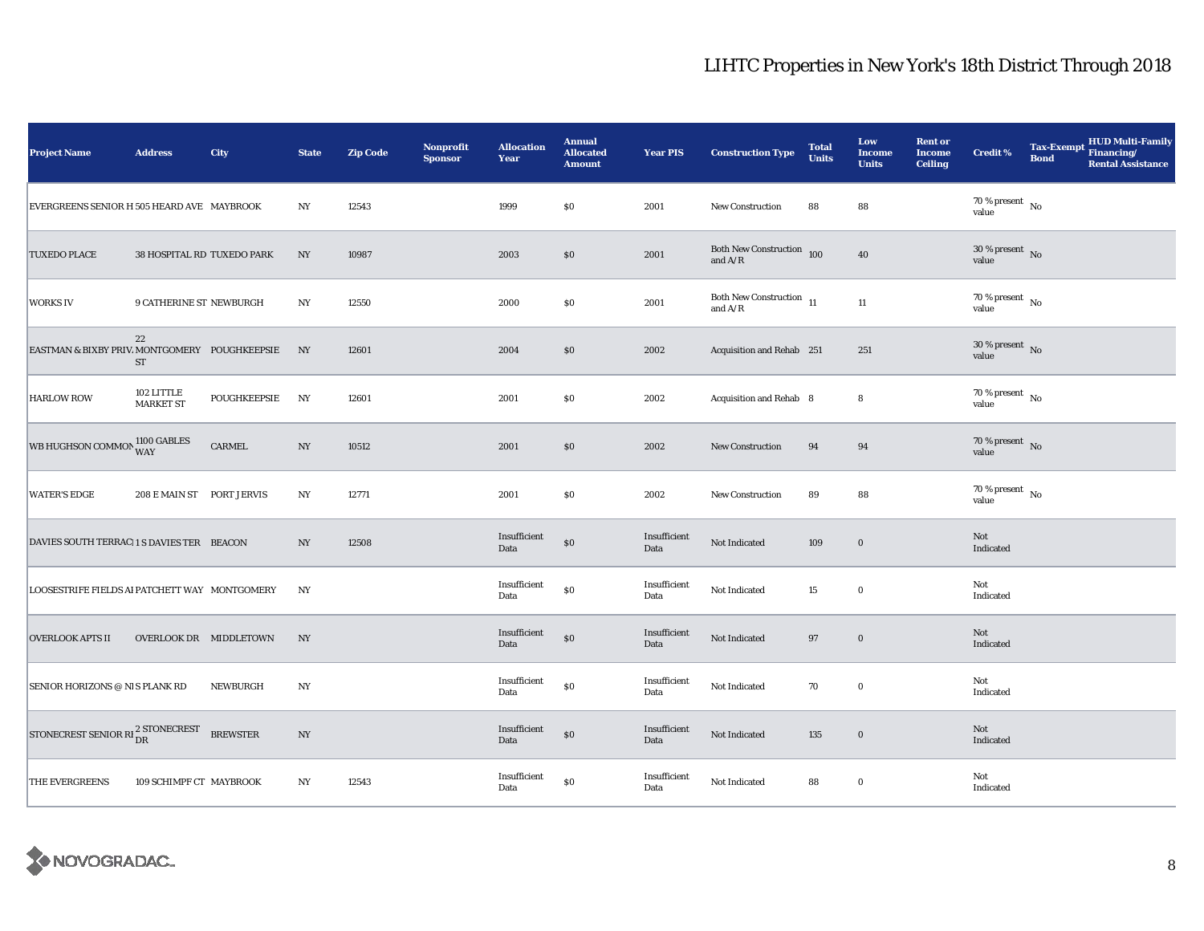| <b>Project Name</b>                           | <b>Address</b>                 | City            | <b>State</b>     | <b>Zip Code</b> | <b>Nonprofit</b><br><b>Sponsor</b> | <b>Allocation</b><br>Year | <b>Annual</b><br><b>Allocated</b><br><b>Amount</b> | <b>Year PIS</b>      | <b>Construction Type</b>                                                                    | <b>Total</b><br><b>Units</b> | Low<br><b>Income</b><br><b>Units</b> | <b>Rent or</b><br><b>Income</b><br><b>Ceiling</b> | <b>Credit %</b>                      | <b>Bond</b> | <b>HUD Multi-Family</b><br>Tax-Exempt Financing/<br><b>Rental Assistance</b> |
|-----------------------------------------------|--------------------------------|-----------------|------------------|-----------------|------------------------------------|---------------------------|----------------------------------------------------|----------------------|---------------------------------------------------------------------------------------------|------------------------------|--------------------------------------|---------------------------------------------------|--------------------------------------|-------------|------------------------------------------------------------------------------|
| EVERGREENS SENIOR H 505 HEARD AVE MAYBROOK    |                                |                 | N <sub>Y</sub>   | 12543           |                                    | 1999                      | $\$0$                                              | 2001                 | <b>New Construction</b>                                                                     | 88                           | 88                                   |                                                   | $70\,\%$ present $\,$ No value       |             |                                                                              |
| <b>TUXEDO PLACE</b>                           | 38 HOSPITAL RD TUXEDO PARK     |                 | $_{\mathrm{NY}}$ | 10987           |                                    | 2003                      | \$0                                                | 2001                 | Both New Construction $\,$ 100 $\,$<br>and $A/R$                                            |                              | 40                                   |                                                   | $30\,\%$ present $\,$ No value       |             |                                                                              |
| <b>WORKS IV</b>                               | <b>9 CATHERINE ST NEWBURGH</b> |                 | N <sub>Y</sub>   | 12550           |                                    | 2000                      | \$0\$                                              | 2001                 | Both New Construction $\,$ 11 $\,$<br>and $\ensuremath{\mathrm{A}}/\ensuremath{\mathrm{R}}$ |                              | 11                                   |                                                   | $70$ % present $\,$ No $\,$<br>value |             |                                                                              |
| EASTMAN & BIXBY PRIV. MONTGOMERY POUGHKEEPSIE | 22<br><b>ST</b>                |                 | NY               | 12601           |                                    | 2004                      | \$0                                                | 2002                 | Acquisition and Rehab 251                                                                   |                              | 251                                  |                                                   | $30\,\%$ present $\,$ No value       |             |                                                                              |
| <b>HARLOW ROW</b>                             | 102 LITTLE<br><b>MARKET ST</b> | POUGHKEEPSIE    | NY               | 12601           |                                    | 2001                      | \$0                                                | 2002                 | Acquisition and Rehab 8                                                                     |                              | 8                                    |                                                   | $70\,\%$ present $\,$ No value       |             |                                                                              |
| WB HUGHSON COMMON 1100 GABLES                 |                                | CARMEL          | N <sub>Y</sub>   | 10512           |                                    | 2001                      | \$0                                                | 2002                 | New Construction                                                                            | 94                           | 94                                   |                                                   | $70\%$ present No<br>value           |             |                                                                              |
| <b>WATER'S EDGE</b>                           | 208 E MAIN ST PORT JERVIS      |                 | NY               | 12771           |                                    | 2001                      | \$0                                                | 2002                 | New Construction                                                                            | 89                           | 88                                   |                                                   | 70 % present $\hbox{~No}$<br>value   |             |                                                                              |
| DAVIES SOUTH TERRACI1 S DAVIES TER BEACON     |                                |                 | $_{\mathrm{NY}}$ | 12508           |                                    | Insufficient<br>Data      | \$0                                                | Insufficient<br>Data | Not Indicated                                                                               | 109                          | $\mathbf 0$                          |                                                   | Not<br>Indicated                     |             |                                                                              |
| LOOSESTRIFE FIELDS AI PATCHETT WAY MONTGOMERY |                                |                 | NY               |                 |                                    | Insufficient<br>Data      | $\$0$                                              | Insufficient<br>Data | Not Indicated                                                                               | 15                           | $\bf{0}$                             |                                                   | Not<br>Indicated                     |             |                                                                              |
| <b>OVERLOOK APTS II</b>                       | OVERLOOK DR MIDDLETOWN         |                 | NY               |                 |                                    | Insufficient<br>Data      | \$0                                                | Insufficient<br>Data | Not Indicated                                                                               | 97                           | $\mathbf 0$                          |                                                   | Not<br>Indicated                     |             |                                                                              |
| SENIOR HORIZONS @ NIS PLANK RD                |                                | NEWBURGH        | N <sub>Y</sub>   |                 |                                    | Insufficient<br>Data      | $\$0$                                              | Insufficient<br>Data | Not Indicated                                                                               | 70                           | $\bf{0}$                             |                                                   | Not<br>Indicated                     |             |                                                                              |
| STONECREST SENIOR RI <sup>2</sup> STONECREST  |                                | <b>BREWSTER</b> | $_{\mathrm{NY}}$ |                 |                                    | Insufficient<br>Data      | $\$0$                                              | Insufficient<br>Data | Not Indicated                                                                               | 135                          | $\mathbf 0$                          |                                                   | Not<br>Indicated                     |             |                                                                              |
| THE EVERGREENS                                | 109 SCHIMPF CT MAYBROOK        |                 | NY               | 12543           |                                    | Insufficient<br>Data      | \$0                                                | Insufficient<br>Data | Not Indicated                                                                               | 88                           | $\bf{0}$                             |                                                   | Not<br>Indicated                     |             |                                                                              |